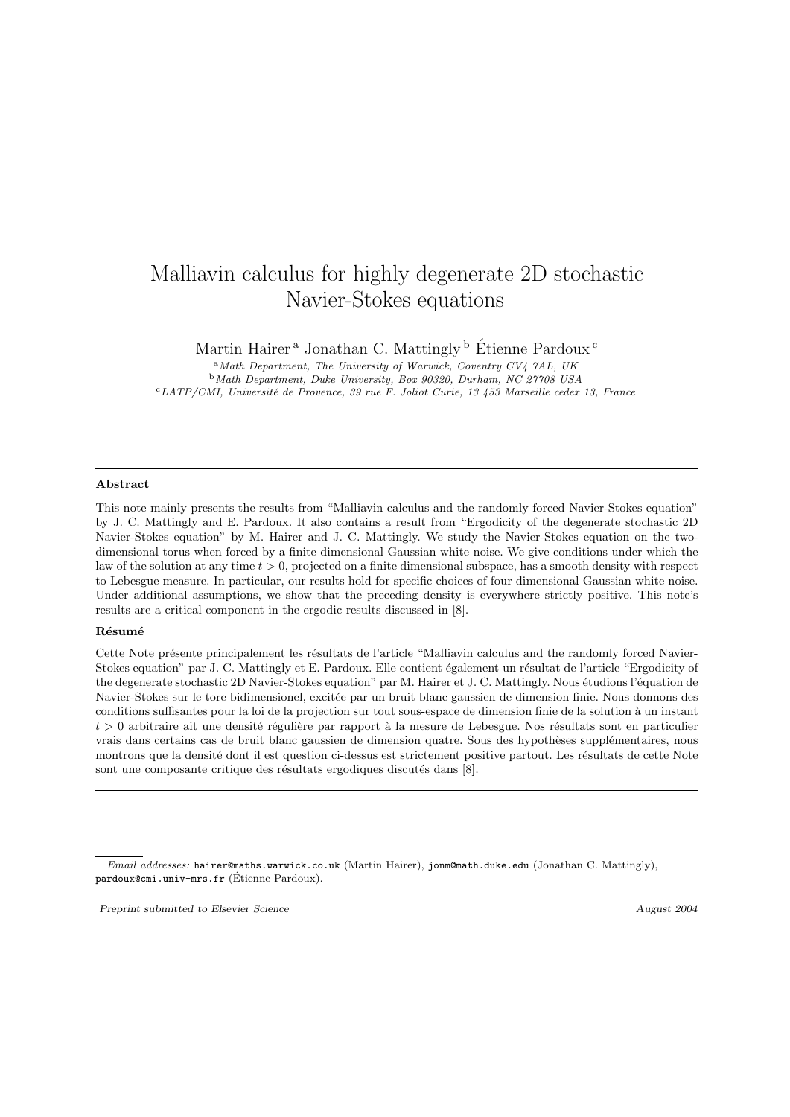# Malliavin calculus for highly degenerate 2D stochastic Navier-Stokes equations

Martin Hairer<sup>a</sup> Jonathan C. Mattingly<sup>b</sup> Étienne Pardoux<sup>c</sup>

 $A<sup>a</sup> Math Department, The University of Warwick, Coverity CV4 7AL, UK$ <sup>b</sup>Math Department, Duke University, Box 90320, Durham, NC 27708 USA <sup>c</sup>LATP/CMI, Universit´e de Provence, 39 rue F. Joliot Curie, 13 453 Marseille cedex 13, France

#### Abstract

This note mainly presents the results from "Malliavin calculus and the randomly forced Navier-Stokes equation" by J. C. Mattingly and E. Pardoux. It also contains a result from "Ergodicity of the degenerate stochastic 2D Navier-Stokes equation" by M. Hairer and J. C. Mattingly. We study the Navier-Stokes equation on the twodimensional torus when forced by a finite dimensional Gaussian white noise. We give conditions under which the law of the solution at any time  $t > 0$ , projected on a finite dimensional subspace, has a smooth density with respect to Lebesgue measure. In particular, our results hold for specific choices of four dimensional Gaussian white noise. Under additional assumptions, we show that the preceding density is everywhere strictly positive. This note's results are a critical component in the ergodic results discussed in [8].

#### Résumé

Cette Note présente principalement les résultats de l'article "Malliavin calculus and the randomly forced Navier-Stokes equation" par J. C. Mattingly et E. Pardoux. Elle contient également un résultat de l'article "Ergodicity of the degenerate stochastic 2D Navier-Stokes equation" par M. Hairer et J. C. Mattingly. Nous étudions l'équation de Navier-Stokes sur le tore bidimensionel, excitée par un bruit blanc gaussien de dimension finie. Nous donnons des conditions suffisantes pour la loi de la projection sur tout sous-espace de dimension finie de la solution à un instant  $t > 0$  arbitraire ait une densité régulière par rapport à la mesure de Lebesgue. Nos résultats sont en particulier vrais dans certains cas de bruit blanc gaussien de dimension quatre. Sous des hypothèses supplémentaires, nous montrons que la densité dont il est question ci-dessus est strictement positive partout. Les résultats de cette Note sont une composante critique des résultats ergodiques discutés dans [8].

Preprint submitted to Elsevier Science August 2004

Email addresses: hairer@maths.warwick.co.uk (Martin Hairer), jonm@math.duke.edu (Jonathan C. Mattingly), pardoux@cmi.univ-mrs.fr (Étienne Pardoux).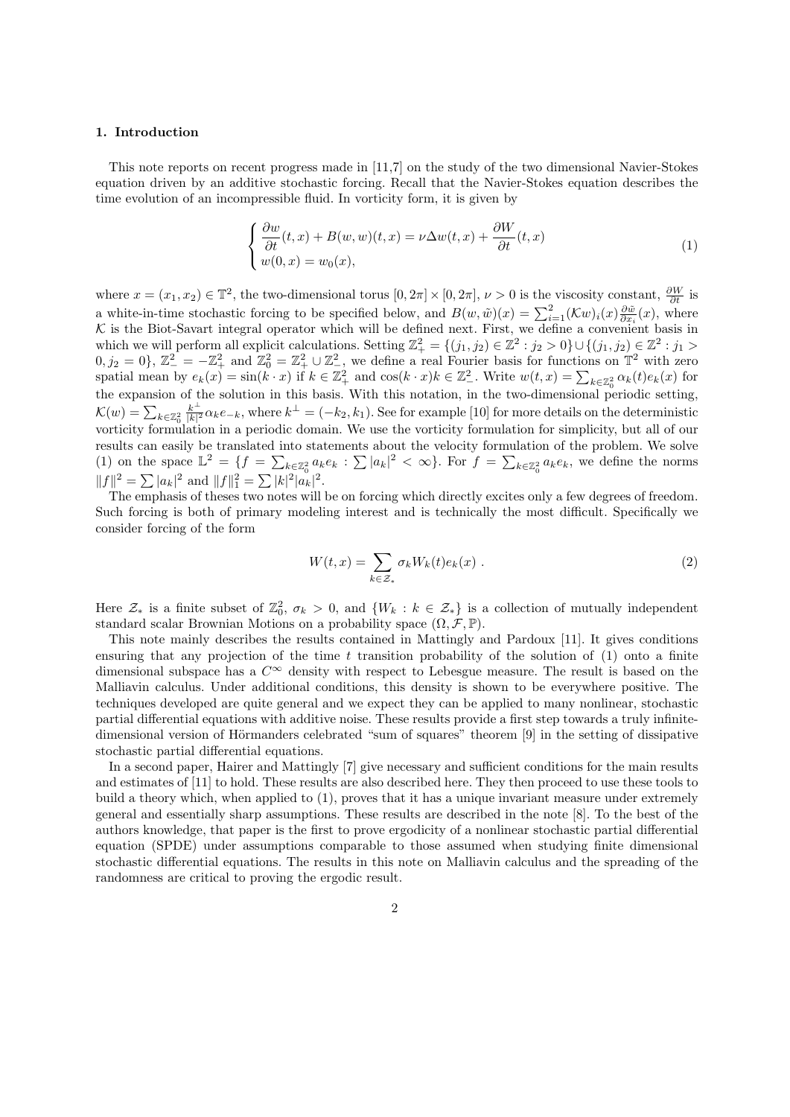## 1. Introduction

This note reports on recent progress made in [11,7] on the study of the two dimensional Navier-Stokes equation driven by an additive stochastic forcing. Recall that the Navier-Stokes equation describes the time evolution of an incompressible fluid. In vorticity form, it is given by

$$
\begin{cases}\n\frac{\partial w}{\partial t}(t,x) + B(w,w)(t,x) = \nu \Delta w(t,x) + \frac{\partial W}{\partial t}(t,x) \\
w(0,x) = w_0(x),\n\end{cases} \tag{1}
$$

where  $x = (x_1, x_2) \in \mathbb{T}^2$ , the two-dimensional torus  $[0, 2\pi] \times [0, 2\pi]$ ,  $\nu > 0$  is the viscosity constant,  $\frac{\partial W}{\partial t}$  is a white-in-time stochastic forcing to be specified below, and  $B(w, \tilde{w})(x) = \sum_{i=1}^{2} (\mathcal{K}w)_i(x) \frac{\partial \tilde{w}}{\partial x_i}(x)$ , where  $\mathcal K$  is the Biot-Savart integral operator which will be defined next. First, we define a convenient basis in which we will perform all explicit calculations. Setting  $\mathbb{Z}_+^2 = \{(j_1, j_2) \in \mathbb{Z}^2 : j_2 > 0\} \cup \{(j_1, j_2) \in \mathbb{Z}^2 : j_1 > 0\}$  $(0, j_2 = 0)$ ,  $\mathbb{Z}_{-}^2 = -\mathbb{Z}_{+}^2$  and  $\mathbb{Z}_{0}^2 = \mathbb{Z}_{+}^2 \cup \mathbb{Z}_{-}^2$ , we define a real Fourier basis for functions on  $\mathbb{T}^2$  with zero spatial mean by  $e_k(x) = \sin(k \cdot x)$  if  $k \in \mathbb{Z}_+^2$  and  $\cos(k \cdot x)k \in \mathbb{Z}_-^2$ . Write  $w(t,x) = \sum_{k \in \mathbb{Z}_0^2} \alpha_k(t) e_k(x)$  for the expansion of the solution in this basis. With this notation, in the two-dimensional periodic setting,  $\mathcal{K}(w) = \sum_{k \in \mathbb{Z}^2_0}$  $k^{\perp}$  $\frac{k^{\perp}}{|k|^2} \alpha_k e_{-k}$ , where  $k^{\perp} = (-k_2, k_1)$ . See for example [10] for more details on the deterministic vorticity formulation in a periodic domain. We use the vorticity formulation for simplicity, but all of our results can easily be translated into statements about the velocity formulation of the problem. We solve (1) on the space  $\mathbb{L}^2 = \{f = \sum_{k \in \mathbb{Z}_0^2} a_k e_k : \sum |a_k|^2 < \infty\}$ . For  $f = \sum_{k \in \mathbb{Z}_0^2} a_k e_k$ , we define the norms  $||f||^2 = \sum |a_k|^2$  and  $||f||_1^2 = \sum |k|^2 |a_k|^2$ .

The emphasis of theses two notes will be on forcing which directly excites only a few degrees of freedom. Such forcing is both of primary modeling interest and is technically the most difficult. Specifically we consider forcing of the form

$$
W(t,x) = \sum_{k \in \mathcal{Z}_*} \sigma_k W_k(t) e_k(x) . \tag{2}
$$

Here  $\mathcal{Z}_*$  is a finite subset of  $\mathbb{Z}_0^2$ ,  $\sigma_k > 0$ , and  $\{W_k : k \in \mathcal{Z}_*\}$  is a collection of mutually independent standard scalar Brownian Motions on a probability space  $(\Omega, \mathcal{F}, \mathbb{P}).$ 

This note mainly describes the results contained in Mattingly and Pardoux [11]. It gives conditions ensuring that any projection of the time t transition probability of the solution of  $(1)$  onto a finite dimensional subspace has a  $C^{\infty}$  density with respect to Lebesgue measure. The result is based on the Malliavin calculus. Under additional conditions, this density is shown to be everywhere positive. The techniques developed are quite general and we expect they can be applied to many nonlinear, stochastic partial differential equations with additive noise. These results provide a first step towards a truly infinitedimensional version of Hörmanders celebrated "sum of squares" theorem [9] in the setting of dissipative stochastic partial differential equations.

In a second paper, Hairer and Mattingly [7] give necessary and sufficient conditions for the main results and estimates of [11] to hold. These results are also described here. They then proceed to use these tools to build a theory which, when applied to (1), proves that it has a unique invariant measure under extremely general and essentially sharp assumptions. These results are described in the note [8]. To the best of the authors knowledge, that paper is the first to prove ergodicity of a nonlinear stochastic partial differential equation (SPDE) under assumptions comparable to those assumed when studying finite dimensional stochastic differential equations. The results in this note on Malliavin calculus and the spreading of the randomness are critical to proving the ergodic result.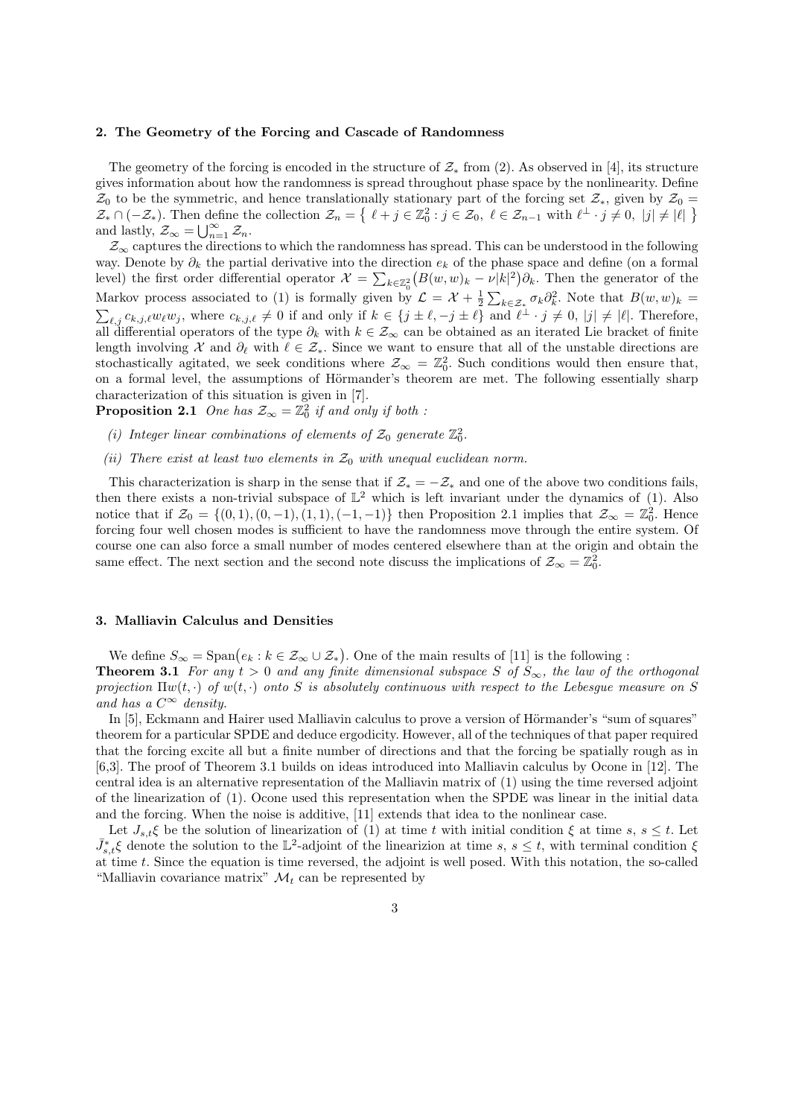## 2. The Geometry of the Forcing and Cascade of Randomness

The geometry of the forcing is encoded in the structure of  $\mathcal{Z}_*$  from (2). As observed in [4], its structure gives information about how the randomness is spread throughout phase space by the nonlinearity. Define  $\mathcal{Z}_0$  to be the symmetric, and hence translationally stationary part of the forcing set  $\mathcal{Z}_*$ , given by  $\mathcal{Z}_0$  =  $\mathcal{Z}_* \cap (-\mathcal{Z}_*)$ . Then define the collection  $\mathcal{Z}_n = \{ \ell + j \in \mathbb{Z}_0^2 : j \in \mathcal{Z}_0, \ell \in \mathcal{Z}_{n-1} \text{ with } \ell^\perp \cdot j \neq 0, |j| \neq |\ell| \}$ and lastly,  $\mathcal{Z}_{\infty} = \bigcup_{n=1}^{\infty} \mathcal{Z}_n$ .

 $\mathcal{Z}_{\infty}$  captures the directions to which the randomness has spread. This can be understood in the following way. Denote by  $\partial_k$  the partial derivative into the direction  $e_k$  of the phase space and define (on a formal level) the first order differential operator  $\mathcal{X} = \sum_{k \in \mathbb{Z}_0^2} (B(w, w)_k - \nu |k|^2) \partial_k$ . Then the generator of the Markov process associated to (1) is formally given by  $\mathcal{L} = \mathcal{X} + \frac{1}{2} \sum_{k \in \mathcal{Z}_*} \sigma_k \partial_k^2$ . Note that  $B(w, w)_k =$  $\sum_{\ell,j} c_{k,j,\ell} w_{\ell} w_j$ , where  $c_{k,j,\ell} \neq 0$  if and only if  $k \in \{j \pm \ell, -j \pm \ell\}$  and  $\ell^{\perp} \cdot j \neq 0$ ,  $|j| \neq |\ell|$ . Therefore, all differential operators of the type  $\partial_k$  with  $k \in \mathcal{Z}_{\infty}$  can be obtained as an iterated Lie bracket of finite length involving X and  $\partial_\ell$  with  $\ell \in \mathcal{Z}_*$ . Since we want to ensure that all of the unstable directions are stochastically agitated, we seek conditions where  $\mathcal{Z}_{\infty} = \mathbb{Z}_0^2$ . Such conditions would then ensure that, on a formal level, the assumptions of Hörmander's theorem are met. The following essentially sharp characterization of this situation is given in [7].

**Proposition 2.1** One has  $\mathcal{Z}_{\infty} = \mathbb{Z}_0^2$  if and only if both :

- (i) Integer linear combinations of elements of  $\mathcal{Z}_0$  generate  $\mathbb{Z}_0^2$ .
- (ii) There exist at least two elements in  $\mathcal{Z}_0$  with unequal euclidean norm.

This characterization is sharp in the sense that if  $\mathcal{Z}_* = -\mathcal{Z}_*$  and one of the above two conditions fails, then there exists a non-trivial subspace of  $\mathbb{L}^2$  which is left invariant under the dynamics of (1). Also notice that if  $\mathcal{Z}_0 = \{(0,1), (0,-1), (1,1), (-1,-1)\}\$  then Proposition 2.1 implies that  $\mathcal{Z}_{\infty} = \mathbb{Z}_0^2$ . Hence forcing four well chosen modes is sufficient to have the randomness move through the entire system. Of course one can also force a small number of modes centered elsewhere than at the origin and obtain the same effect. The next section and the second note discuss the implications of  $\mathcal{Z}_{\infty} = \mathbb{Z}_0^2$ .

## 3. Malliavin Calculus and Densities

We define  $S_{\infty} = \text{Span}\big(e_k : k \in \mathcal{Z}_{\infty} \cup \mathcal{Z}_{*}\big)$ . One of the main results of [11] is the following : **Theorem 3.1** For any  $t > 0$  and any finite dimensional subspace S of  $S_{\infty}$ , the law of the orthogonal projection  $\Pi w(t, \cdot)$  of  $w(t, \cdot)$  onto S is absolutely continuous with respect to the Lebesgue measure on S and has a  $C^{\infty}$  density.

In [5], Eckmann and Hairer used Malliavin calculus to prove a version of Hörmander's "sum of squares" theorem for a particular SPDE and deduce ergodicity. However, all of the techniques of that paper required that the forcing excite all but a finite number of directions and that the forcing be spatially rough as in [6,3]. The proof of Theorem 3.1 builds on ideas introduced into Malliavin calculus by Ocone in [12]. The central idea is an alternative representation of the Malliavin matrix of (1) using the time reversed adjoint of the linearization of (1). Ocone used this representation when the SPDE was linear in the initial data and the forcing. When the noise is additive, [11] extends that idea to the nonlinear case.

Let  $J_{s,t}\xi$  be the solution of linearization of (1) at time t with initial condition  $\xi$  at time s,  $s \leq t$ . Let  $\bar{J}_{s,t}^*$  denote the solution to the L<sup>2</sup>-adjoint of the linearizion at time s,  $s \leq t$ , with terminal condition  $\xi$ at time t. Since the equation is time reversed, the adjoint is well posed. With this notation, the so-called "Malliavin covariance matrix"  $\mathcal{M}_t$  can be represented by